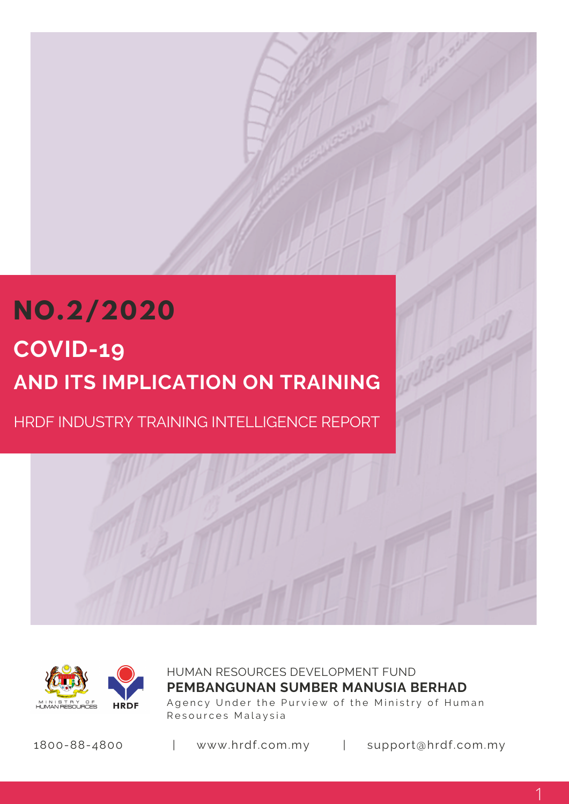# **NO.2/2020 COVID-19 AND ITS IMPLICATION ON TRAINING**

HRDF INDUSTRY TRAINING INTELLIGENCE REPORT



HUMAN RESOURCES DEVELOPMENT FUND Agency Under the Purview of the Ministry of Human Resources Malaysia **PEMBANGUNAN SUMBER MANUSIA BERHAD**

1800-88-4800 | www.hrdf.com.my | support@hrdf.com.my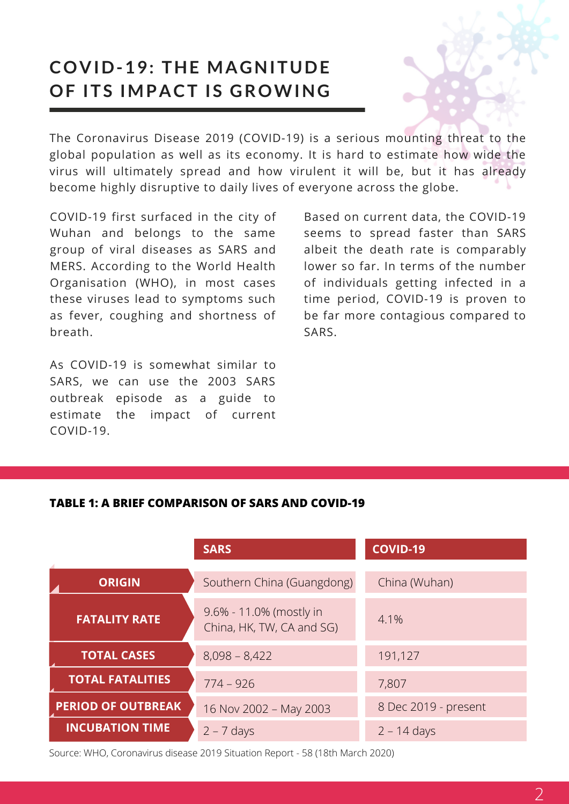## **COVID-19: THE MAGNITUDE OF ITS IMPACT IS GROWING**

The Coronavirus Disease 2019 (COVID-19) is a serious mounting threat to the global population as well as its economy. It is hard to estimate how wide the virus will ultimately spread and how virulent it will be, but it has already become highly disruptive to daily lives of everyone across the globe.

COVID-19 first surfaced in the city of Wuhan and belongs to the same group of viral diseases as SARS and MERS. According to the World Health Organisation (WHO), in most cases these viruses lead to symptoms such as fever, coughing and shortness of breath.

As COVID-19 is somewhat similar to SARS, we can use the 2003 SARS outbreak episode as a guide to estimate the impact of current COVID-19.

Based on current data, the COVID-19 seems to spread faster than SARS albeit the death rate is comparably lower so far. In terms of the number of individuals getting infected in a time period, COVID-19 is proven to be far more contagious compared to SARS.

#### **TABLE 1: A BRIEF COMPARISON OF SARS AND COVID-19**

|                           | <b>SARS</b>                                          | <b>COVID-19</b>      |
|---------------------------|------------------------------------------------------|----------------------|
| <b>ORIGIN</b>             | Southern China (Guangdong)                           | China (Wuhan)        |
| <b>FATALITY RATE</b>      | 9.6% - 11.0% (mostly in<br>China, HK, TW, CA and SG) | 4.1%                 |
| <b>TOTAL CASES</b>        | $8,098 - 8,422$                                      | 191,127              |
| <b>TOTAL FATALITIES</b>   | $774 - 926$                                          | 7,807                |
| <b>PERIOD OF OUTBREAK</b> | 16 Nov 2002 - May 2003                               | 8 Dec 2019 - present |
| <b>INCUBATION TIME</b>    | $2 - 7$ days                                         | $2 - 14$ days        |

Source: WHO, Coronavirus disease 2019 Situation Report - 58 (18th March 2020)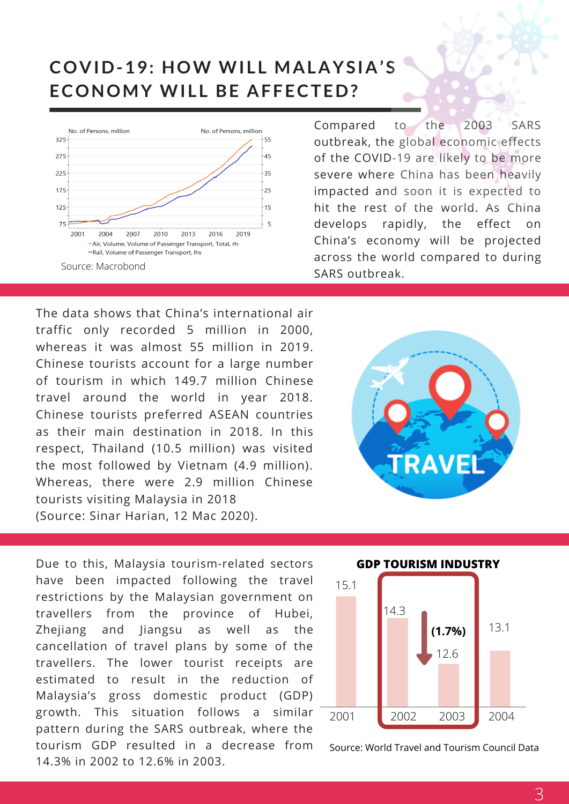### **COVID-19: HOW WI L L MALAYSIA'S ECONOMY WILL BE AFFECTED?**



Compared to the 2003 SARS outbreak, the global economic effects of the COVID-19 are likely to be more severe where China has been heavily impacted and soon it is expected to hit the rest of the world. As China develops rapidly, the effect on China's economy will be projected across the world compared to during SARS outbreak.

The data shows that China's international air traffic only recorded 5 million in 2000, whereas it was almost 55 million in 2019. Chinese tourists account for a large number of tourism in which 149.7 million Chinese travel around the world in year 2018. Chinese tourists preferred ASEAN countries as their main destination in 2018. In this respect, Thailand (10.5 million) was visited the most followed by Vietnam (4.9 million). Whereas, there were 2.9 million Chinese tourists visiting Malaysia in 2018 (Source: Sinar Harian, 12 Mac 2020).



Due to this, Malaysia tourism-related sectors have been impacted following the travel restrictions by the Malaysian government on travellers from the province of Hubei, Zhejiang and Jiangsu as well as the cancellation of travel plans by some of the travellers. The lower tourist receipts are estimated to result in the reduction of Malaysia's gross domestic product (GDP) growth. This situation follows a similar pattern during the SARS outbreak, where the tourism GDP resulted in a decrease from 14.3% in 2002 to 12.6% in 2003.



Source: World Travel and Tourism Council Data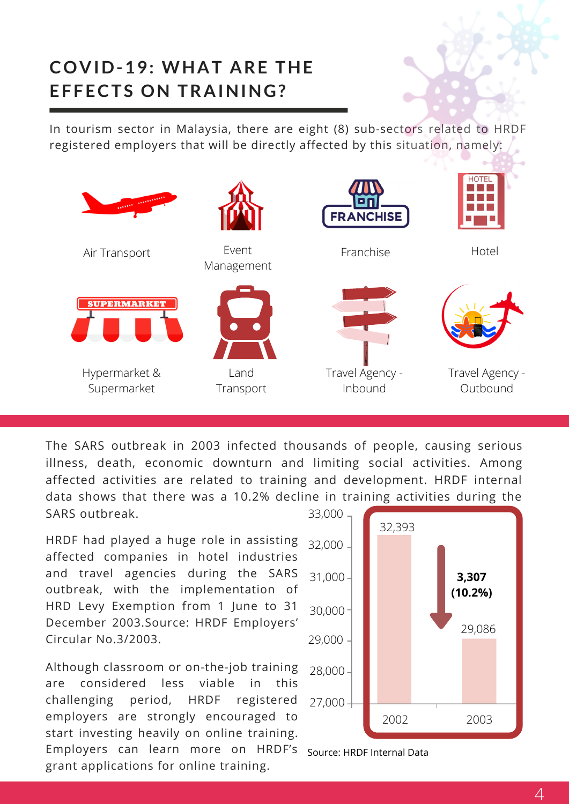## **COVID-19: WHAT ARE THE EFFECTS ON TRAINING?**

In tourism sector in Malaysia, there are eight (8) sub-sectors related to HRDF registered employers that will be directly affected by this situation, namely:



The SARS outbreak in 2003 infected thousands of people, causing serious illness, death, economic downturn and limiting social activities. Among affected activities are related to training and development. HRDF internal data shows that there was a 10.2% decline in training activities during the SARS outbreak.

HRDF had played a huge role in assisting affected companies in hotel industries and travel agencies during the SARS outbreak, with the implementation of HRD Levy Exemption from 1 June to 31 December 2003.Source: HRDF Employers' Circular No.3/2003.

Although classroom or on-the-job training are considered less viable in this challenging period, HRDF registered employers are strongly encouraged to start investing heavily on online training. Employers can learn more on HRDF's grant applications for online training.



Source: HRDF Internal Data